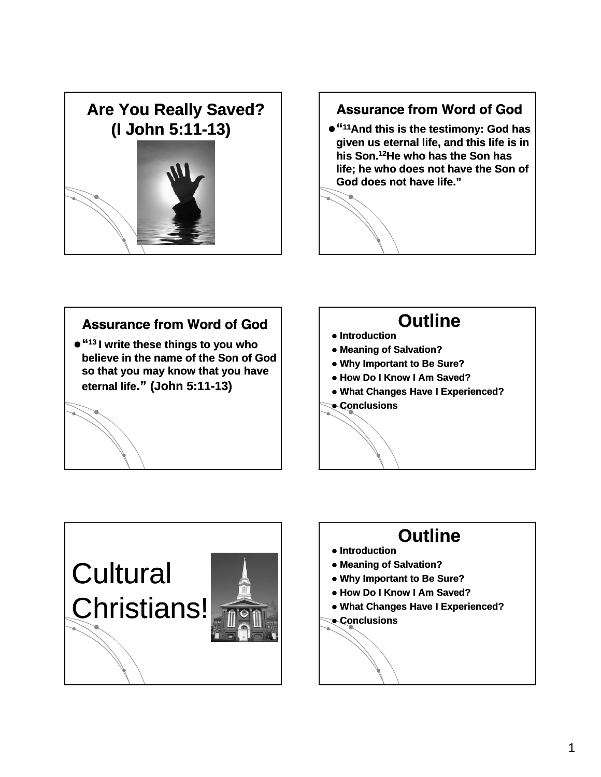

## Assurance from Word of God

z**"11And this is the testimony: God has given us eternal life, and this life is in his Son.12He who has the Son has life; he who does not have the Son of God does not have life."**

#### Assurance from Word of God

 $\bullet$  "<sup>13</sup> I write these things to you who **believe in the name of the Son of God so that you may know that you have eternal life eternal life." (John 5:11 (John 5:11-13)**

### **Outline**

- **Introduction**
- **Meaning of Salvation?**
- z **Why Important to Be Sure?**
- z **How Do I Know I Am Saved?**
- **What Changes Have I Experienced?**
- z **Conclusions**



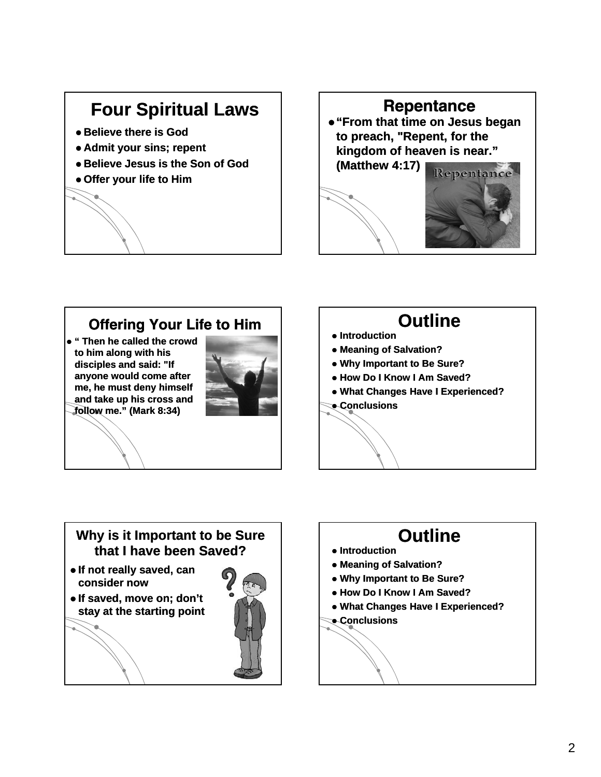# **Four Spiritual Laws**

- $\bullet$  **Believe there is God**
- **Admit your sins; repent**
- $\bullet$  **Believe Jesus is the Son of God**
- **Offer your life to Him**



## Offering Your Life to Him

z **" Then he called the crowd to him along with his disciples and said: "If anyone would come after me, he must deny himself and take up his cross and follow me." (Mark 8:34)** 



## **Outline**

- **Introduction**
- **Meaning of Salvation?**
- z **Why Important to Be Sure?**
- z **How Do I Know I Am Saved?**
- **What Changes Have I Experienced?**
- z **Conclusions**

#### **Why is it Important to be Sure that I have been Saved?**

- $\bullet$  **If not really saved, can consider now**
- $\bullet$  **If saved, move on; don't stay at the starting point**



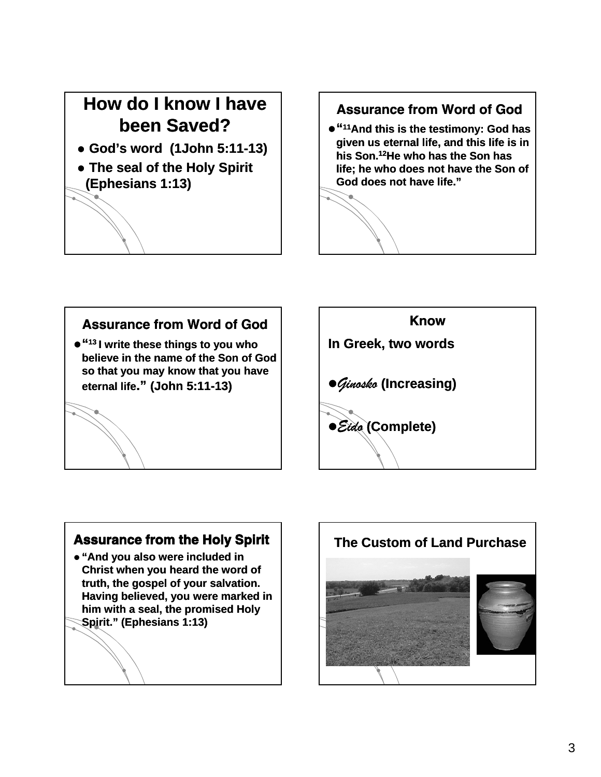# **How do I know I have been Saved?**

- z **God's word (1John 5:11 5:11-13)**
- The seal of the Holy Spirit **(Ephesians 1:13)**

### Assurance from Word of God

z**"11And this is the testimony: God has given us eternal life, and this life is in his Son.12He who has the Son has life; he who does not have the Son of God does not have life."**



**so that you may know that you have** 

**eternal life eternal life." (John 5:11 (John 5:11-13)**

Know **In Greek, two words** z*Gin sk oo* **( c eas g) Increasing)** z*Eido* **(Complete)**

#### **Assurance from the Holy Spirit**

z **"And you also were included in Christ when you heard the word of truth, the gospel of your salvation. Having believed, you were marked in**  him with a seal, the promised Holy **Spirit." (Ephesians 1:13)**